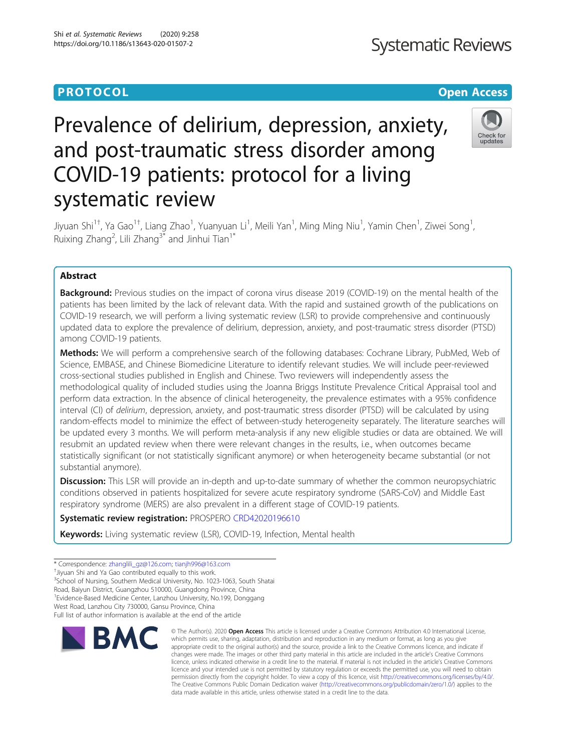## **PROTOCOL CONSUMING THE CONSUMING TEACHER CONSUMING THE CONSUMING TEACHER CONSUMING THE CONSUMING TEACHER CONSUMING**

# Prevalence of delirium, depression, anxiety, and post-traumatic stress disorder among COVID-19 patients: protocol for a living systematic review



Jiyuan Shi<sup>1†</sup>, Ya Gao<sup>1†</sup>, Liang Zhao<sup>1</sup>, Yuanyuan Li<sup>1</sup>, Meili Yan<sup>1</sup>, Ming Ming Niu<sup>1</sup>, Yamin Chen<sup>1</sup>, Ziwei Song<sup>1</sup> , Ruixing Zhang<sup>2</sup>, Lili Zhang<sup>3\*</sup> and Jinhui Tian<sup>1\*</sup>

### Abstract

**Background:** Previous studies on the impact of corona virus disease 2019 (COVID-19) on the mental health of the patients has been limited by the lack of relevant data. With the rapid and sustained growth of the publications on COVID-19 research, we will perform a living systematic review (LSR) to provide comprehensive and continuously updated data to explore the prevalence of delirium, depression, anxiety, and post-traumatic stress disorder (PTSD) among COVID-19 patients.

Methods: We will perform a comprehensive search of the following databases: Cochrane Library, PubMed, Web of Science, EMBASE, and Chinese Biomedicine Literature to identify relevant studies. We will include peer-reviewed cross-sectional studies published in English and Chinese. Two reviewers will independently assess the methodological quality of included studies using the Joanna Briggs Institute Prevalence Critical Appraisal tool and perform data extraction. In the absence of clinical heterogeneity, the prevalence estimates with a 95% confidence interval (CI) of delirium, depression, anxiety, and post-traumatic stress disorder (PTSD) will be calculated by using random-effects model to minimize the effect of between-study heterogeneity separately. The literature searches will be updated every 3 months. We will perform meta-analysis if any new eligible studies or data are obtained. We will resubmit an updated review when there were relevant changes in the results, i.e., when outcomes became statistically significant (or not statistically significant anymore) or when heterogeneity became substantial (or not substantial anymore).

**Discussion:** This LSR will provide an in-depth and up-to-date summary of whether the common neuropsychiatric conditions observed in patients hospitalized for severe acute respiratory syndrome (SARS-CoV) and Middle East respiratory syndrome (MERS) are also prevalent in a different stage of COVID-19 patients.

#### Systematic review registration: PROSPERO [CRD42020196610](https://www.crd.york.ac.uk/prospero/display_record.php?RecordID=196610)

Keywords: Living systematic review (LSR), COVID-19, Infection, Mental health

<sup>+</sup>Jiyuan Shi and Ya Gao contributed equally to this work.

<sup>3</sup>School of Nursing, Southern Medical University, No. 1023-1063, South Shatai

Road, Baiyun District, Guangzhou 510000, Guangdong Province, China <sup>1</sup> Evidence-Based Medicine Center, Lanzhou University, No.199, Donggang

West Road, Lanzhou City 730000, Gansu Province, China

Full list of author information is available at the end of the article



© The Author(s), 2020 **Open Access** This article is licensed under a Creative Commons Attribution 4.0 International License, which permits use, sharing, adaptation, distribution and reproduction in any medium or format, as long as you give appropriate credit to the original author(s) and the source, provide a link to the Creative Commons licence, and indicate if changes were made. The images or other third party material in this article are included in the article's Creative Commons licence, unless indicated otherwise in a credit line to the material. If material is not included in the article's Creative Commons licence and your intended use is not permitted by statutory regulation or exceeds the permitted use, you will need to obtain permission directly from the copyright holder. To view a copy of this licence, visit [http://creativecommons.org/licenses/by/4.0/.](http://creativecommons.org/licenses/by/4.0/) The Creative Commons Public Domain Dedication waiver [\(http://creativecommons.org/publicdomain/zero/1.0/](http://creativecommons.org/publicdomain/zero/1.0/)) applies to the data made available in this article, unless otherwise stated in a credit line to the data.

<sup>\*</sup> Correspondence: [zhanglili\\_gz@126.com;](mailto:zhanglili_gz@126.com) [tianjh996@163.com](mailto:tianjh996@163.com) †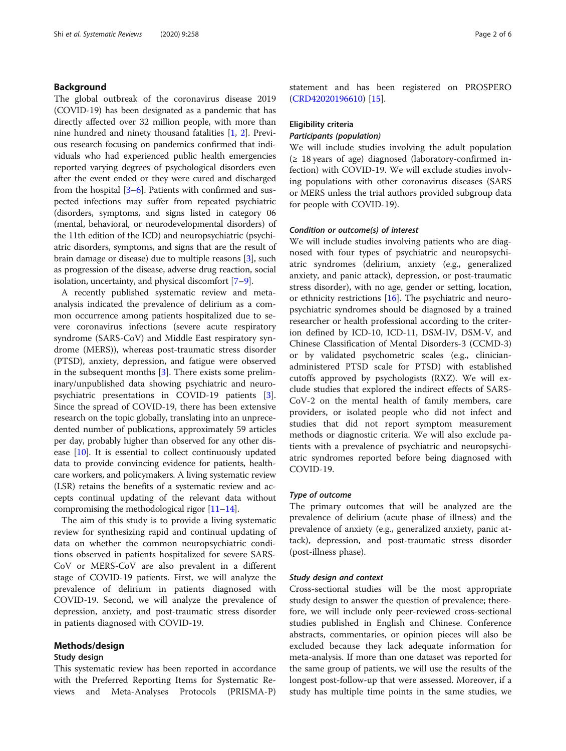#### Background

The global outbreak of the coronavirus disease 2019 (COVID-19) has been designated as a pandemic that has directly affected over 32 million people, with more than nine hundred and ninety thousand fatalities [[1](#page-4-0), [2\]](#page-4-0). Previous research focusing on pandemics confirmed that individuals who had experienced public health emergencies reported varying degrees of psychological disorders even after the event ended or they were cured and discharged from the hospital [[3](#page-4-0)–[6](#page-4-0)]. Patients with confirmed and suspected infections may suffer from repeated psychiatric (disorders, symptoms, and signs listed in category 06 (mental, behavioral, or neurodevelopmental disorders) of the 11th edition of the ICD) and neuropsychiatric (psychiatric disorders, symptoms, and signs that are the result of brain damage or disease) due to multiple reasons [\[3](#page-4-0)], such as progression of the disease, adverse drug reaction, social isolation, uncertainty, and physical discomfort [\[7](#page-4-0)–[9\]](#page-4-0).

A recently published systematic review and metaanalysis indicated the prevalence of delirium as a common occurrence among patients hospitalized due to severe coronavirus infections (severe acute respiratory syndrome (SARS-CoV) and Middle East respiratory syndrome (MERS)), whereas post-traumatic stress disorder (PTSD), anxiety, depression, and fatigue were observed in the subsequent months [[3\]](#page-4-0). There exists some preliminary/unpublished data showing psychiatric and neuropsychiatric presentations in COVID-19 patients [\[3](#page-4-0)]. Since the spread of COVID-19, there has been extensive research on the topic globally, translating into an unprecedented number of publications, approximately 59 articles per day, probably higher than observed for any other disease [[10](#page-4-0)]. It is essential to collect continuously updated data to provide convincing evidence for patients, healthcare workers, and policymakers. A living systematic review (LSR) retains the benefits of a systematic review and accepts continual updating of the relevant data without compromising the methodological rigor [[11](#page-4-0)–[14\]](#page-4-0).

The aim of this study is to provide a living systematic review for synthesizing rapid and continual updating of data on whether the common neuropsychiatric conditions observed in patients hospitalized for severe SARS-CoV or MERS-CoV are also prevalent in a different stage of COVID-19 patients. First, we will analyze the prevalence of delirium in patients diagnosed with COVID-19. Second, we will analyze the prevalence of depression, anxiety, and post-traumatic stress disorder in patients diagnosed with COVID-19.

#### Methods/design

#### Study design

This systematic review has been reported in accordance with the Preferred Reporting Items for Systematic Reviews and Meta-Analyses Protocols (PRISMA-P) statement and has been registered on PROSPERO ([CRD42020196610\)](https://www.crd.york.ac.uk/prospero/display_record.php?RecordID=196610) [[15\]](#page-4-0).

#### Eligibility criteria

#### Participants (population)

We will include studies involving the adult population  $( \geq 18 \text{ years of age})$  diagnosed (laboratory-confirmed infection) with COVID-19. We will exclude studies involving populations with other coronavirus diseases (SARS or MERS unless the trial authors provided subgroup data for people with COVID-19).

#### Condition or outcome(s) of interest

We will include studies involving patients who are diagnosed with four types of psychiatric and neuropsychiatric syndromes (delirium, anxiety (e.g., generalized anxiety, and panic attack), depression, or post-traumatic stress disorder), with no age, gender or setting, location, or ethnicity restrictions [[16](#page-4-0)]. The psychiatric and neuropsychiatric syndromes should be diagnosed by a trained researcher or health professional according to the criterion defined by ICD-10, ICD-11, DSM-IV, DSM-V, and Chinese Classification of Mental Disorders-3 (CCMD-3) or by validated psychometric scales (e.g., clinicianadministered PTSD scale for PTSD) with established cutoffs approved by psychologists (RXZ). We will exclude studies that explored the indirect effects of SARS-CoV-2 on the mental health of family members, care providers, or isolated people who did not infect and studies that did not report symptom measurement methods or diagnostic criteria. We will also exclude patients with a prevalence of psychiatric and neuropsychiatric syndromes reported before being diagnosed with COVID-19.

#### Type of outcome

The primary outcomes that will be analyzed are the prevalence of delirium (acute phase of illness) and the prevalence of anxiety (e.g., generalized anxiety, panic attack), depression, and post-traumatic stress disorder (post-illness phase).

#### Study design and context

Cross-sectional studies will be the most appropriate study design to answer the question of prevalence; therefore, we will include only peer-reviewed cross-sectional studies published in English and Chinese. Conference abstracts, commentaries, or opinion pieces will also be excluded because they lack adequate information for meta-analysis. If more than one dataset was reported for the same group of patients, we will use the results of the longest post-follow-up that were assessed. Moreover, if a study has multiple time points in the same studies, we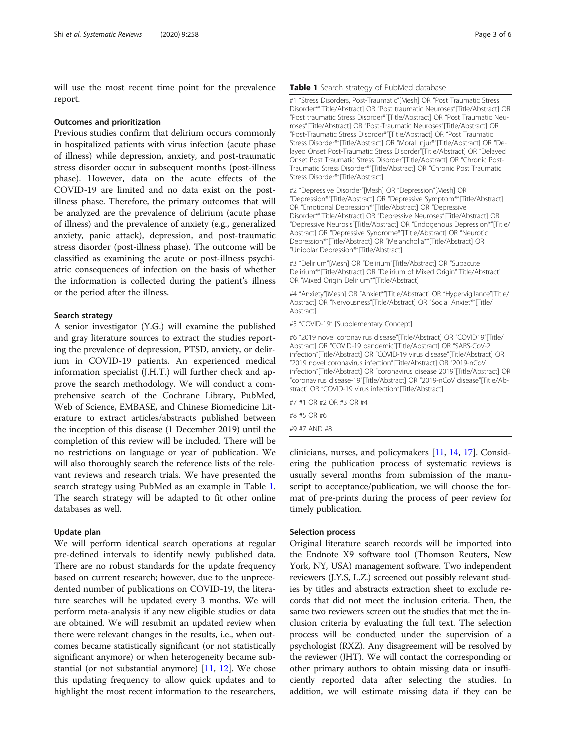will use the most recent time point for the prevalence report.

#### Outcomes and prioritization

Previous studies confirm that delirium occurs commonly in hospitalized patients with virus infection (acute phase of illness) while depression, anxiety, and post-traumatic stress disorder occur in subsequent months (post-illness phase). However, data on the acute effects of the COVID-19 are limited and no data exist on the postillness phase. Therefore, the primary outcomes that will be analyzed are the prevalence of delirium (acute phase of illness) and the prevalence of anxiety (e.g., generalized anxiety, panic attack), depression, and post-traumatic stress disorder (post-illness phase). The outcome will be classified as examining the acute or post-illness psychiatric consequences of infection on the basis of whether the information is collected during the patient's illness or the period after the illness.

#### Search strategy

A senior investigator (Y.G.) will examine the published and gray literature sources to extract the studies reporting the prevalence of depression, PTSD, anxiety, or delirium in COVID-19 patients. An experienced medical information specialist (J.H.T.) will further check and approve the search methodology. We will conduct a comprehensive search of the Cochrane Library, PubMed, Web of Science, EMBASE, and Chinese Biomedicine Literature to extract articles/abstracts published between the inception of this disease (1 December 2019) until the completion of this review will be included. There will be no restrictions on language or year of publication. We will also thoroughly search the reference lists of the relevant reviews and research trials. We have presented the search strategy using PubMed as an example in Table 1. The search strategy will be adapted to fit other online databases as well.

#### Update plan

We will perform identical search operations at regular pre-defined intervals to identify newly published data. There are no robust standards for the update frequency based on current research; however, due to the unprecedented number of publications on COVID-19, the literature searches will be updated every 3 months. We will perform meta-analysis if any new eligible studies or data are obtained. We will resubmit an updated review when there were relevant changes in the results, i.e., when outcomes became statistically significant (or not statistically significant anymore) or when heterogeneity became substantial (or not substantial anymore) [\[11](#page-4-0), [12\]](#page-4-0). We chose this updating frequency to allow quick updates and to highlight the most recent information to the researchers,

#### Table 1 Search strategy of PubMed database

#1 "Stress Disorders, Post-Traumatic"[Mesh] OR "Post Traumatic Stress Disorder\*"[Title/Abstract] OR "Post traumatic Neuroses"[Title/Abstract] OR "Post traumatic Stress Disorder\*"[Title/Abstract] OR "Post Traumatic Neuroses"[Title/Abstract] OR "Post-Traumatic Neuroses"[Title/Abstract] OR "Post-Traumatic Stress Disorder\*"[Title/Abstract] OR "Post Traumatic Stress Disorder\*"[Title/Abstract] OR "Moral Injur\*"[Title/Abstract] OR "Delayed Onset Post-Traumatic Stress Disorder"[Title/Abstract] OR "Delayed Onset Post Traumatic Stress Disorder"[Title/Abstract] OR "Chronic Post-Traumatic Stress Disorder\*"[Title/Abstract] OR "Chronic Post Traumatic Stress Disorder\*"[Title/Abstract]

#2 "Depressive Disorder"[Mesh] OR "Depression"[Mesh] OR "Depression\*"[Title/Abstract] OR "Depressive Symptom\*"[Title/Abstract] OR "Emotional Depression\*"[Title/Abstract] OR "Depressive Disorder\*"[Title/Abstract] OR "Depressive Neuroses"[Title/Abstract] OR "Depressive Neurosis"[Title/Abstract] OR "Endogenous Depression\*"[Title/ Abstract] OR "Depressive Syndrome\*"[Title/Abstract] OR "Neurotic Depression\*"[Title/Abstract] OR "Melancholia\*"[Title/Abstract] OR "Unipolar Depression\*"[Title/Abstract]

#3 "Delirium"[Mesh] OR "Delirium"[Title/Abstract] OR "Subacute Delirium\*"[Title/Abstract] OR "Delirium of Mixed Origin"[Title/Abstract] OR "Mixed Origin Delirium\*"[Title/Abstract]

#4 "Anxiety"[Mesh] OR "Anxiet\*"[Title/Abstract] OR "Hypervigilance"[Title/ Abstract] OR "Nervousness"[Title/Abstract] OR "Social Anxiet\*"[Title/ Abstract]

#5 "COVID-19" [Supplementary Concept]

#6 "2019 novel coronavirus disease"[Title/Abstract] OR "COVID19"[Title/ Abstract] OR "COVID-19 pandemic"[Title/Abstract] OR "SARS-CoV-2 infection"[Title/Abstract] OR "COVID-19 virus disease"[Title/Abstract] OR "2019 novel coronavirus infection"[Title/Abstract] OR "2019-nCoV infection"[Title/Abstract] OR "coronavirus disease 2019"[Title/Abstract] OR "coronavirus disease-19"[Title/Abstract] OR "2019-nCoV disease"[Title/Abstract] OR "COVID-19 virus infection"[Title/Abstract]

#7 #1 OR #2 OR #3 OR #4 #8 #5 OR #6 #9 #7 AND #8

clinicians, nurses, and policymakers [[11,](#page-4-0) [14,](#page-4-0) [17\]](#page-5-0). Considering the publication process of systematic reviews is usually several months from submission of the manuscript to acceptance/publication, we will choose the format of pre-prints during the process of peer review for timely publication.

#### Selection process

Original literature search records will be imported into the Endnote X9 software tool (Thomson Reuters, New York, NY, USA) management software. Two independent reviewers (J.Y.S, L.Z.) screened out possibly relevant studies by titles and abstracts extraction sheet to exclude records that did not meet the inclusion criteria. Then, the same two reviewers screen out the studies that met the inclusion criteria by evaluating the full text. The selection process will be conducted under the supervision of a psychologist (RXZ). Any disagreement will be resolved by the reviewer (JHT). We will contact the corresponding or other primary authors to obtain missing data or insufficiently reported data after selecting the studies. In addition, we will estimate missing data if they can be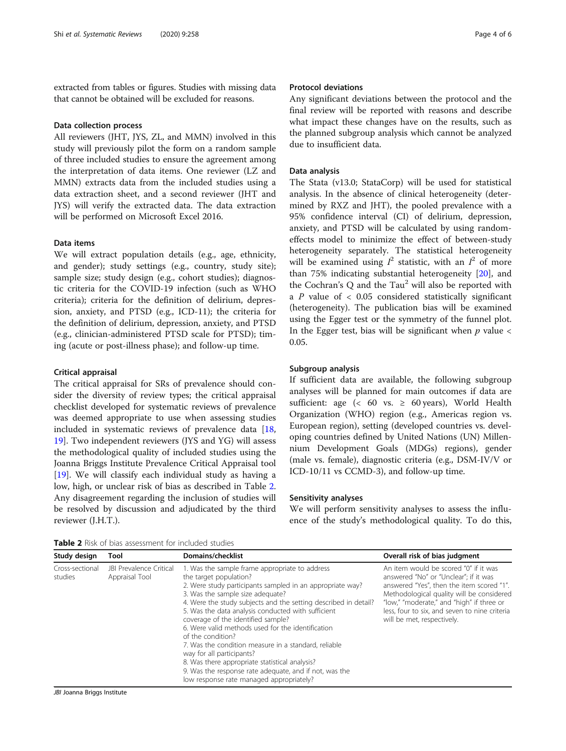extracted from tables or figures. Studies with missing data that cannot be obtained will be excluded for reasons.

#### Data collection process

All reviewers (JHT, JYS, ZL, and MMN) involved in this study will previously pilot the form on a random sample of three included studies to ensure the agreement among the interpretation of data items. One reviewer (LZ and MMN) extracts data from the included studies using a data extraction sheet, and a second reviewer (JHT and JYS) will verify the extracted data. The data extraction will be performed on Microsoft Excel 2016.

#### Data items

We will extract population details (e.g., age, ethnicity, and gender); study settings (e.g., country, study site); sample size; study design (e.g., cohort studies); diagnostic criteria for the COVID-19 infection (such as WHO criteria); criteria for the definition of delirium, depression, anxiety, and PTSD (e.g., ICD-11); the criteria for the definition of delirium, depression, anxiety, and PTSD (e.g., clinician-administered PTSD scale for PTSD); timing (acute or post-illness phase); and follow-up time.

#### Critical appraisal

The critical appraisal for SRs of prevalence should consider the diversity of review types; the critical appraisal checklist developed for systematic reviews of prevalence was deemed appropriate to use when assessing studies included in systematic reviews of prevalence data [[18](#page-5-0), [19\]](#page-5-0). Two independent reviewers (JYS and YG) will assess the methodological quality of included studies using the Joanna Briggs Institute Prevalence Critical Appraisal tool [[19\]](#page-5-0). We will classify each individual study as having a low, high, or unclear risk of bias as described in Table 2. Any disagreement regarding the inclusion of studies will be resolved by discussion and adjudicated by the third reviewer (J.H.T.).

#### Protocol deviations

Any significant deviations between the protocol and the final review will be reported with reasons and describe what impact these changes have on the results, such as the planned subgroup analysis which cannot be analyzed due to insufficient data.

#### Data analysis

The Stata (v13.0; StataCorp) will be used for statistical analysis. In the absence of clinical heterogeneity (determined by RXZ and JHT), the pooled prevalence with a 95% confidence interval (CI) of delirium, depression, anxiety, and PTSD will be calculated by using randomeffects model to minimize the effect of between-study heterogeneity separately. The statistical heterogeneity will be examined using  $I^2$  statistic, with an  $I^2$  of more than 75% indicating substantial heterogeneity [[20\]](#page-5-0), and the Cochran's  $Q$  and the Tau $2$  will also be reported with a P value of  $\langle 0.05 \rangle$  considered statistically significant (heterogeneity). The publication bias will be examined using the Egger test or the symmetry of the funnel plot. In the Egger test, bias will be significant when  $p$  value  $\lt$ 0.05.

#### Subgroup analysis

If sufficient data are available, the following subgroup analyses will be planned for main outcomes if data are sufficient: age  $\left( < 60 \text{ vs. } \geq 60 \text{ years} \right)$ , World Health Organization (WHO) region (e.g., Americas region vs. European region), setting (developed countries vs. developing countries defined by United Nations (UN) Millennium Development Goals (MDGs) regions), gender (male vs. female), diagnostic criteria (e.g., DSM-IV/V or ICD-10/11 vs CCMD-3), and follow-up time.

#### Sensitivity analyses

We will perform sensitivity analyses to assess the influence of the study's methodological quality. To do this,

Table 2 Risk of bias assessment for included studies

| Study design               | Tool                                             | Domains/checklist                                                                                                                                                                                                                                                                                                                                                                                                                                                                                                                                                                                                                                               | Overall risk of bias judgment                                                                                                                                                                                                                                                                        |
|----------------------------|--------------------------------------------------|-----------------------------------------------------------------------------------------------------------------------------------------------------------------------------------------------------------------------------------------------------------------------------------------------------------------------------------------------------------------------------------------------------------------------------------------------------------------------------------------------------------------------------------------------------------------------------------------------------------------------------------------------------------------|------------------------------------------------------------------------------------------------------------------------------------------------------------------------------------------------------------------------------------------------------------------------------------------------------|
| Cross-sectional<br>studies | <b>JBI Prevalence Critical</b><br>Appraisal Tool | 1. Was the sample frame appropriate to address<br>the target population?<br>2. Were study participants sampled in an appropriate way?<br>3. Was the sample size adequate?<br>4. Were the study subjects and the setting described in detail?<br>5. Was the data analysis conducted with sufficient<br>coverage of the identified sample?<br>6. Were valid methods used for the identification<br>of the condition?<br>7. Was the condition measure in a standard, reliable<br>way for all participants?<br>8. Was there appropriate statistical analysis?<br>9. Was the response rate adequate, and if not, was the<br>low response rate managed appropriately? | An item would be scored "0" if it was<br>answered "No" or "Unclear": if it was<br>answered "Yes", then the item scored "1".<br>Methodological quality will be considered<br>"low," "moderate," and "high" if three or<br>less, four to six, and seven to nine criteria<br>will be met, respectively. |
|                            |                                                  |                                                                                                                                                                                                                                                                                                                                                                                                                                                                                                                                                                                                                                                                 |                                                                                                                                                                                                                                                                                                      |

JBI Joanna Briggs Institute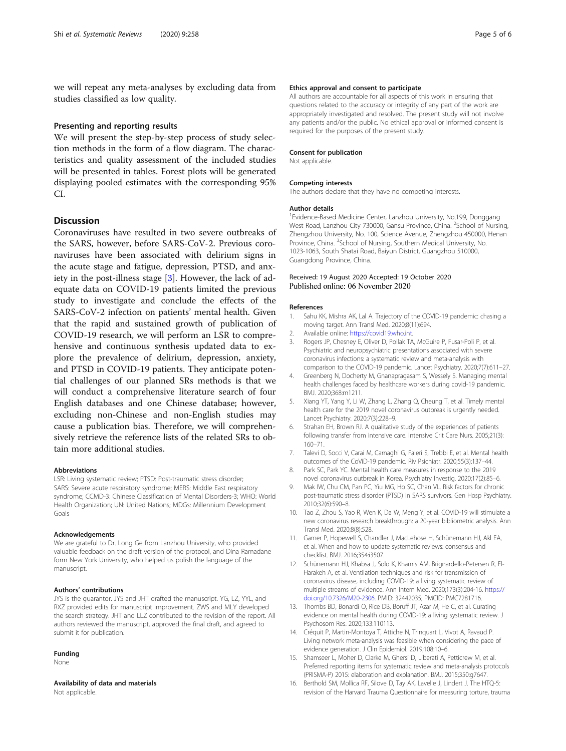<span id="page-4-0"></span>we will repeat any meta-analyses by excluding data from studies classified as low quality.

#### Presenting and reporting results

We will present the step-by-step process of study selection methods in the form of a flow diagram. The characteristics and quality assessment of the included studies will be presented in tables. Forest plots will be generated displaying pooled estimates with the corresponding 95% CI.

#### **Discussion**

Coronaviruses have resulted in two severe outbreaks of the SARS, however, before SARS-CoV-2. Previous coronaviruses have been associated with delirium signs in the acute stage and fatigue, depression, PTSD, and anxiety in the post-illness stage [3]. However, the lack of adequate data on COVID-19 patients limited the previous study to investigate and conclude the effects of the SARS-CoV-2 infection on patients' mental health. Given that the rapid and sustained growth of publication of COVID-19 research, we will perform an LSR to comprehensive and continuous synthesis updated data to explore the prevalence of delirium, depression, anxiety, and PTSD in COVID-19 patients. They anticipate potential challenges of our planned SRs methods is that we will conduct a comprehensive literature search of four English databases and one Chinese database; however, excluding non-Chinese and non-English studies may cause a publication bias. Therefore, we will comprehensively retrieve the reference lists of the related SRs to obtain more additional studies.

#### Abbreviations

LSR: Living systematic review; PTSD: Post-traumatic stress disorder; SARS: Severe acute respiratory syndrome; MERS: Middle East respiratory syndrome; CCMD-3: Chinese Classification of Mental Disorders-3; WHO: World Health Organization; UN: United Nations; MDGs: Millennium Development Goals

#### Acknowledgements

We are grateful to Dr. Long Ge from Lanzhou University, who provided valuable feedback on the draft version of the protocol, and Dina Ramadane form New York University, who helped us polish the language of the manuscript.

#### Authors' contributions

JYS is the guarantor. JYS and JHT drafted the manuscript. YG, LZ, YYL, and RXZ provided edits for manuscript improvement. ZWS and MLY developed the search strategy. JHT and LLZ contributed to the revision of the report. All authors reviewed the manuscript, approved the final draft, and agreed to submit it for publication.

#### Funding

None

Availability of data and materials Not applicable.

#### Ethics approval and consent to participate

All authors are accountable for all aspects of this work in ensuring that questions related to the accuracy or integrity of any part of the work are appropriately investigated and resolved. The present study will not involve any patients and/or the public. No ethical approval or informed consent is required for the purposes of the present study.

#### Consent for publication

Not applicable.

#### Competing interests

The authors declare that they have no competing interests.

#### Author details

<sup>1</sup> Evidence-Based Medicine Center, Lanzhou University, No.199, Donggang West Road, Lanzhou City 730000, Gansu Province, China. <sup>2</sup>School of Nursing Zhengzhou University, No. 100, Science Avenue, Zhengzhou 450000, Henan Province, China. <sup>3</sup>School of Nursing, Southern Medical University, No. 1023-1063, South Shatai Road, Baiyun District, Guangzhou 510000, Guangdong Province, China.

# Received: 19 August 2020 Accepted: 19 October 2020

#### References

- 1. Sahu KK, Mishra AK, Lal A. Trajectory of the COVID-19 pandemic: chasing a moving target. Ann Transl Med. 2020;8(11):694.
- 2. Available online: [https://covid19.who.int.](https://covid19.who.int)
- 3. Rogers JP, Chesney E, Oliver D, Pollak TA, McGuire P, Fusar-Poli P, et al. Psychiatric and neuropsychiatric presentations associated with severe coronavirus infections: a systematic review and meta-analysis with comparison to the COVID-19 pandemic. Lancet Psychiatry. 2020;7(7):611–27.
- 4. Greenberg N, Docherty M, Gnanapragasam S, Wessely S. Managing mental health challenges faced by healthcare workers during covid-19 pandemic. BMJ. 2020;368:m1211.
- 5. Xiang YT, Yang Y, Li W, Zhang L, Zhang Q, Cheung T, et al. Timely mental health care for the 2019 novel coronavirus outbreak is urgently needed. Lancet Psychiatry. 2020;7(3):228–9.
- 6. Strahan EH, Brown RJ. A qualitative study of the experiences of patients following transfer from intensive care. Intensive Crit Care Nurs. 2005;21(3): 160–71.
- 7. Talevi D, Socci V, Carai M, Carnaghi G, Faleri S, Trebbi E, et al. Mental health outcomes of the CoViD-19 pandemic. Riv Psichiatr. 2020;55(3):137–44.
- 8. Park SC, Park YC. Mental health care measures in response to the 2019 novel coronavirus outbreak in Korea. Psychiatry Investig. 2020;17(2):85–6.
- 9. Mak IW, Chu CM, Pan PC, Yiu MG, Ho SC, Chan VL. Risk factors for chronic post-traumatic stress disorder (PTSD) in SARS survivors. Gen Hosp Psychiatry. 2010;32(6):590–8.
- 10. Tao Z, Zhou S, Yao R, Wen K, Da W, Meng Y, et al. COVID-19 will stimulate a new coronavirus research breakthrough: a 20-year bibliometric analysis. Ann Transl Med. 2020;8(8):528.
- 11. Garner P, Hopewell S, Chandler J, MacLehose H, Schünemann HJ, Akl EA, et al. When and how to update systematic reviews: consensus and checklist. BMJ. 2016;354:i3507.
- 12. Schünemann HJ, Khabsa J, Solo K, Khamis AM, Brignardello-Petersen R, El-Harakeh A, et al. Ventilation techniques and risk for transmission of coronavirus disease, including COVID-19: a living systematic review of multiple streams of evidence. Ann Intern Med. 2020;173(3):204-16. [https://](https://doi.org/10.7326/M20-2306) [doi.org/10.7326/M20-2306](https://doi.org/10.7326/M20-2306). PMID: 32442035; PMCID: PMC7281716.
- 13. Thombs BD, Bonardi O, Rice DB, Boruff JT, Azar M, He C, et al. Curating evidence on mental health during COVID-19: a living systematic review. J Psychosom Res. 2020;133:110113.
- 14. Créquit P, Martin-Montoya T, Attiche N, Trinquart L, Vivot A, Ravaud P. Living network meta-analysis was feasible when considering the pace of evidence generation. J Clin Epidemiol. 2019;108:10–6.
- 15. Shamseer L, Moher D, Clarke M, Ghersi D, Liberati A, Petticrew M, et al. Preferred reporting items for systematic review and meta-analysis protocols (PRISMA-P) 2015: elaboration and explanation. BMJ. 2015;350:g7647.
- 16. Berthold SM, Mollica RF, Silove D, Tay AK, Lavelle J, Lindert J. The HTQ-5: revision of the Harvard Trauma Questionnaire for measuring torture, trauma